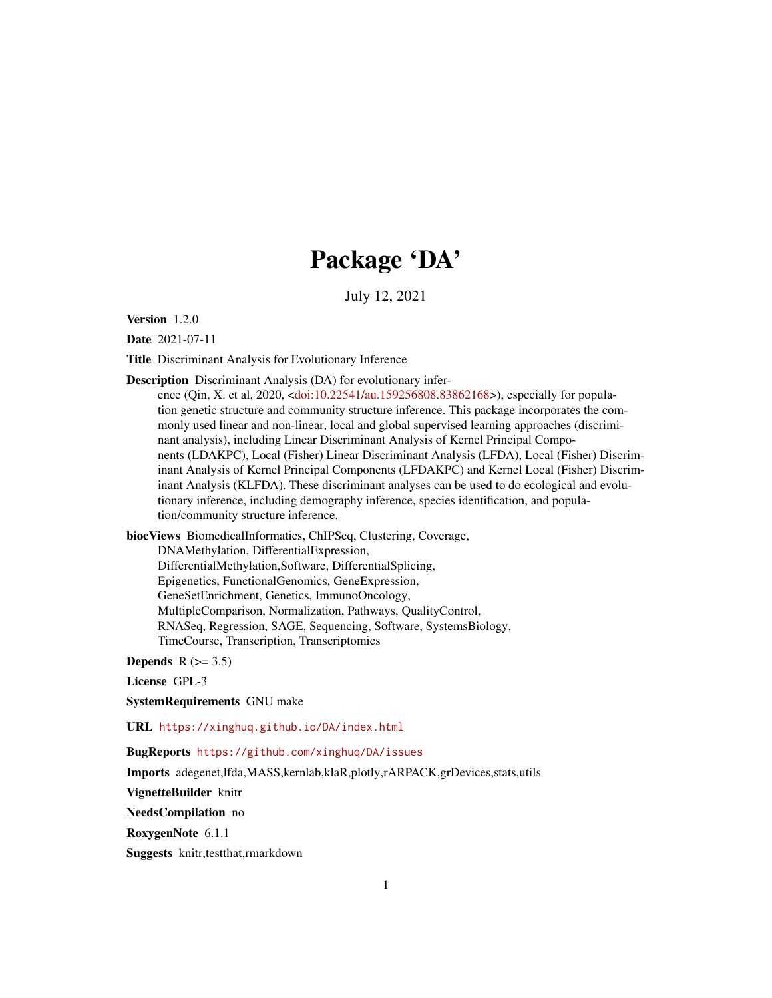# Package 'DA'

July 12, 2021

Version 1.2.0

Date 2021-07-11

Title Discriminant Analysis for Evolutionary Inference

Description Discriminant Analysis (DA) for evolutionary infer-

ence (Qin, X. et al, 2020, [<doi:10.22541/au.159256808.83862168>](https://doi.org/10.22541/au.159256808.83862168)), especially for population genetic structure and community structure inference. This package incorporates the commonly used linear and non-linear, local and global supervised learning approaches (discriminant analysis), including Linear Discriminant Analysis of Kernel Principal Components (LDAKPC), Local (Fisher) Linear Discriminant Analysis (LFDA), Local (Fisher) Discriminant Analysis of Kernel Principal Components (LFDAKPC) and Kernel Local (Fisher) Discriminant Analysis (KLFDA). These discriminant analyses can be used to do ecological and evolutionary inference, including demography inference, species identification, and population/community structure inference.

biocViews BiomedicalInformatics, ChIPSeq, Clustering, Coverage, DNAMethylation, DifferentialExpression, DifferentialMethylation,Software, DifferentialSplicing, Epigenetics, FunctionalGenomics, GeneExpression, GeneSetEnrichment, Genetics, ImmunoOncology, MultipleComparison, Normalization, Pathways, QualityControl, RNASeq, Regression, SAGE, Sequencing, Software, SystemsBiology, TimeCourse, Transcription, Transcriptomics

Depends  $R$  ( $> = 3.5$ )

License GPL-3

SystemRequirements GNU make

URL <https://xinghuq.github.io/DA/index.html>

BugReports <https://github.com/xinghuq/DA/issues>

Imports adegenet,lfda,MASS,kernlab,klaR,plotly,rARPACK,grDevices,stats,utils

VignetteBuilder knitr

NeedsCompilation no

RoxygenNote 6.1.1

Suggests knitr,testthat,rmarkdown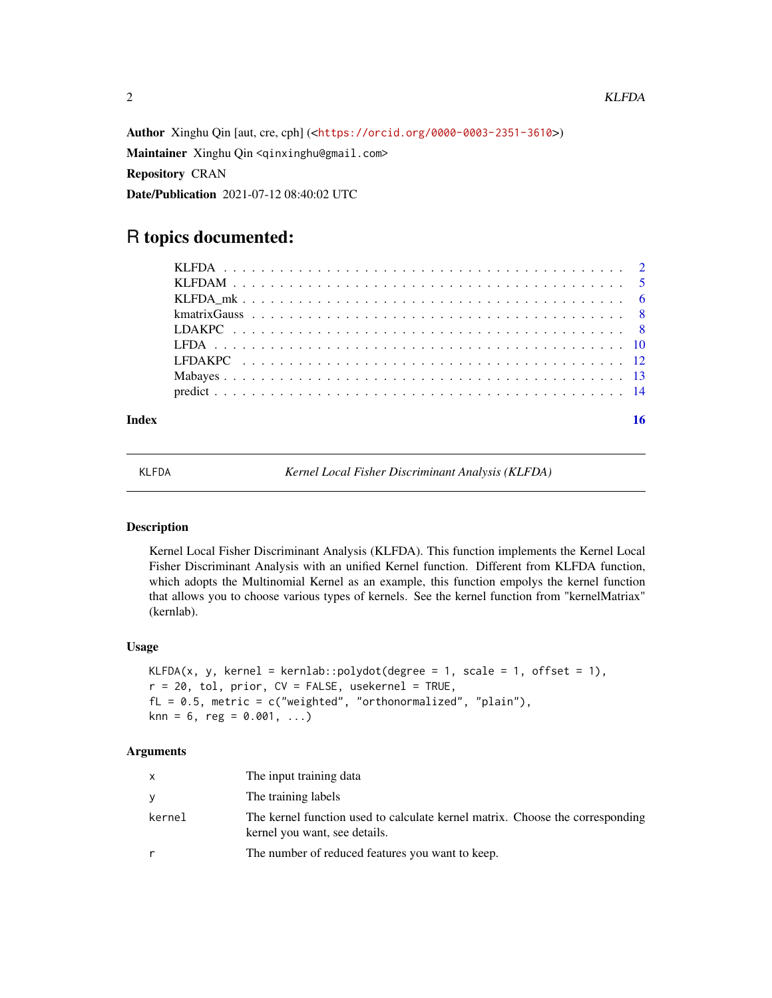Author Xinghu Qin [aut, cre, cph] (<<https://orcid.org/0000-0003-2351-3610>>) Maintainer Xinghu Qin <qinxinghu@gmail.com> Repository CRAN Date/Publication 2021-07-12 08:40:02 UTC

# R topics documented:

| $k$ matrix Gauss $\ldots \ldots \ldots \ldots \ldots \ldots \ldots \ldots \ldots \ldots \ldots \ldots \ldots$ |  |
|---------------------------------------------------------------------------------------------------------------|--|
|                                                                                                               |  |
|                                                                                                               |  |
|                                                                                                               |  |
|                                                                                                               |  |
|                                                                                                               |  |
|                                                                                                               |  |

# **Index** the contract of the contract of the contract of the contract of the contract of the contract of the contract of the contract of the contract of the contract of the contract of the contract of the contract of the co

KLFDA *Kernel Local Fisher Discriminant Analysis (KLFDA)*

# Description

Kernel Local Fisher Discriminant Analysis (KLFDA). This function implements the Kernel Local Fisher Discriminant Analysis with an unified Kernel function. Different from KLFDA function, which adopts the Multinomial Kernel as an example, this function empolys the kernel function that allows you to choose various types of kernels. See the kernel function from "kernelMatriax" (kernlab).

#### Usage

```
KLFDA(x, y, kernel = kernlab::polydot(degree = 1, scale = 1, offset = 1),
r = 20, tol, prior, CV = FALSE, usekernel = TRUE,
fL = 0.5, metric = c("weighted", "orthonormalized", "plain"),
\text{km} = 6, reg = 0.001, ...)
```

| X      | The input training data                                                                                        |
|--------|----------------------------------------------------------------------------------------------------------------|
| y      | The training labels                                                                                            |
| kernel | The kernel function used to calculate kernel matrix. Choose the corresponding<br>kernel you want, see details. |
|        | The number of reduced features you want to keep.                                                               |

<span id="page-1-0"></span>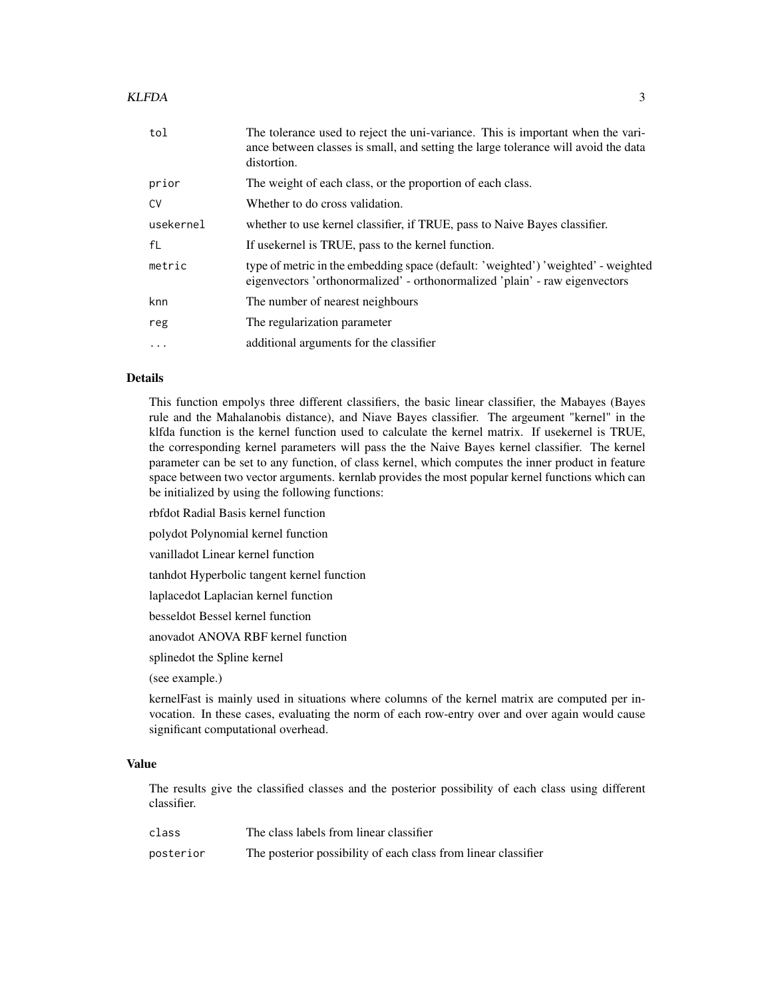#### KLFDA 3

| tol       | The tolerance used to reject the uni-variance. This is important when the vari-<br>ance between classes is small, and setting the large tolerance will avoid the data<br>distortion. |
|-----------|--------------------------------------------------------------------------------------------------------------------------------------------------------------------------------------|
| prior     | The weight of each class, or the proportion of each class.                                                                                                                           |
| CV        | Whether to do cross validation.                                                                                                                                                      |
| usekernel | whether to use kernel classifier, if TRUE, pass to Naive Bayes classifier.                                                                                                           |
| fL        | If usekernel is TRUE, pass to the kernel function.                                                                                                                                   |
| metric    | type of metric in the embedding space (default: 'weighted') 'weighted' - weighted<br>eigenvectors 'orthonormalized' - orthonormalized 'plain' - raw eigenvectors                     |
| knn       | The number of nearest neighbours                                                                                                                                                     |
| reg       | The regularization parameter                                                                                                                                                         |
| $\cdot$   | additional arguments for the classifier                                                                                                                                              |

# Details

This function empolys three different classifiers, the basic linear classifier, the Mabayes (Bayes rule and the Mahalanobis distance), and Niave Bayes classifier. The argeument "kernel" in the klfda function is the kernel function used to calculate the kernel matrix. If usekernel is TRUE, the corresponding kernel parameters will pass the the Naive Bayes kernel classifier. The kernel parameter can be set to any function, of class kernel, which computes the inner product in feature space between two vector arguments. kernlab provides the most popular kernel functions which can be initialized by using the following functions:

rbfdot Radial Basis kernel function

polydot Polynomial kernel function

vanilladot Linear kernel function

tanhdot Hyperbolic tangent kernel function

laplacedot Laplacian kernel function

besseldot Bessel kernel function

anovadot ANOVA RBF kernel function

splinedot the Spline kernel

(see example.)

kernelFast is mainly used in situations where columns of the kernel matrix are computed per invocation. In these cases, evaluating the norm of each row-entry over and over again would cause significant computational overhead.

#### Value

The results give the classified classes and the posterior possibility of each class using different classifier.

| class     | The class labels from linear classifier                        |
|-----------|----------------------------------------------------------------|
| posterior | The posterior possibility of each class from linear classifier |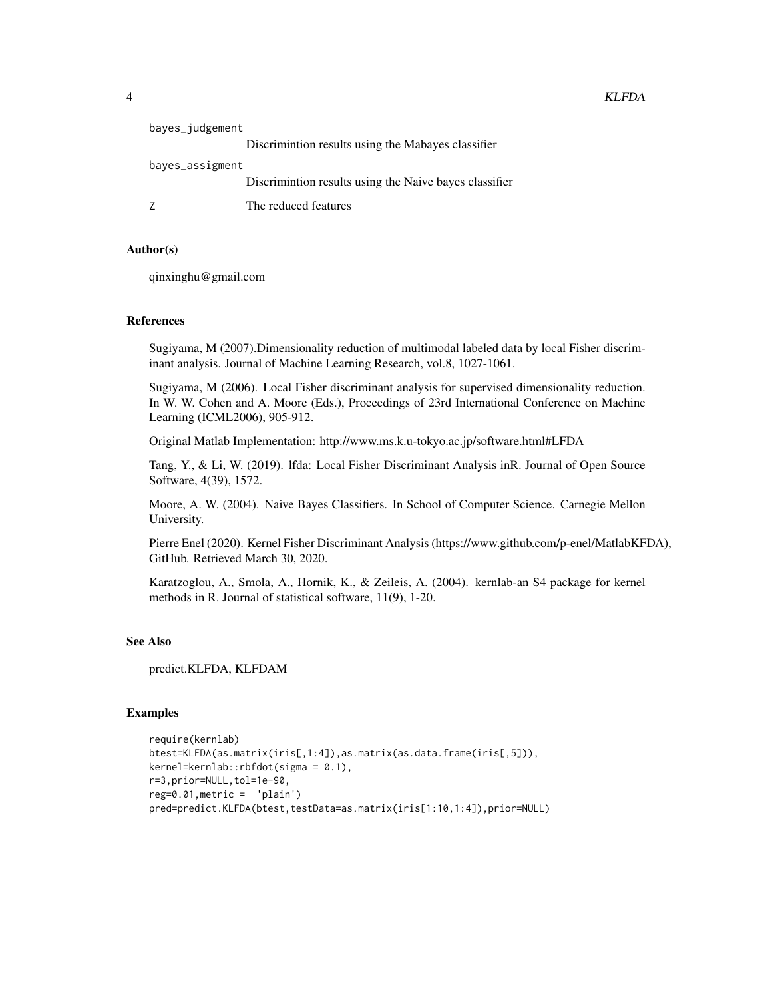| bayes_judgement |                                                         |
|-----------------|---------------------------------------------------------|
|                 | Discrimintion results using the Mabayes classifier      |
| bayes_assigment |                                                         |
|                 | Discrimination results using the Naive bayes classifier |
|                 | The reduced features                                    |

# Author(s)

qinxinghu@gmail.com

# References

Sugiyama, M (2007).Dimensionality reduction of multimodal labeled data by local Fisher discriminant analysis. Journal of Machine Learning Research, vol.8, 1027-1061.

Sugiyama, M (2006). Local Fisher discriminant analysis for supervised dimensionality reduction. In W. W. Cohen and A. Moore (Eds.), Proceedings of 23rd International Conference on Machine Learning (ICML2006), 905-912.

Original Matlab Implementation: http://www.ms.k.u-tokyo.ac.jp/software.html#LFDA

Tang, Y., & Li, W. (2019). lfda: Local Fisher Discriminant Analysis inR. Journal of Open Source Software, 4(39), 1572.

Moore, A. W. (2004). Naive Bayes Classifiers. In School of Computer Science. Carnegie Mellon University.

Pierre Enel (2020). Kernel Fisher Discriminant Analysis (https://www.github.com/p-enel/MatlabKFDA), GitHub. Retrieved March 30, 2020.

Karatzoglou, A., Smola, A., Hornik, K., & Zeileis, A. (2004). kernlab-an S4 package for kernel methods in R. Journal of statistical software, 11(9), 1-20.

# See Also

predict.KLFDA, KLFDAM

# Examples

```
require(kernlab)
btest=KLFDA(as.matrix(iris[,1:4]),as.matrix(as.data.frame(iris[,5])),
kernel=kernlab::rbfdot(sigma = 0.1),
r=3,prior=NULL,tol=1e-90,
reg=0.01,metric = 'plain')
pred=predict.KLFDA(btest,testData=as.matrix(iris[1:10,1:4]),prior=NULL)
```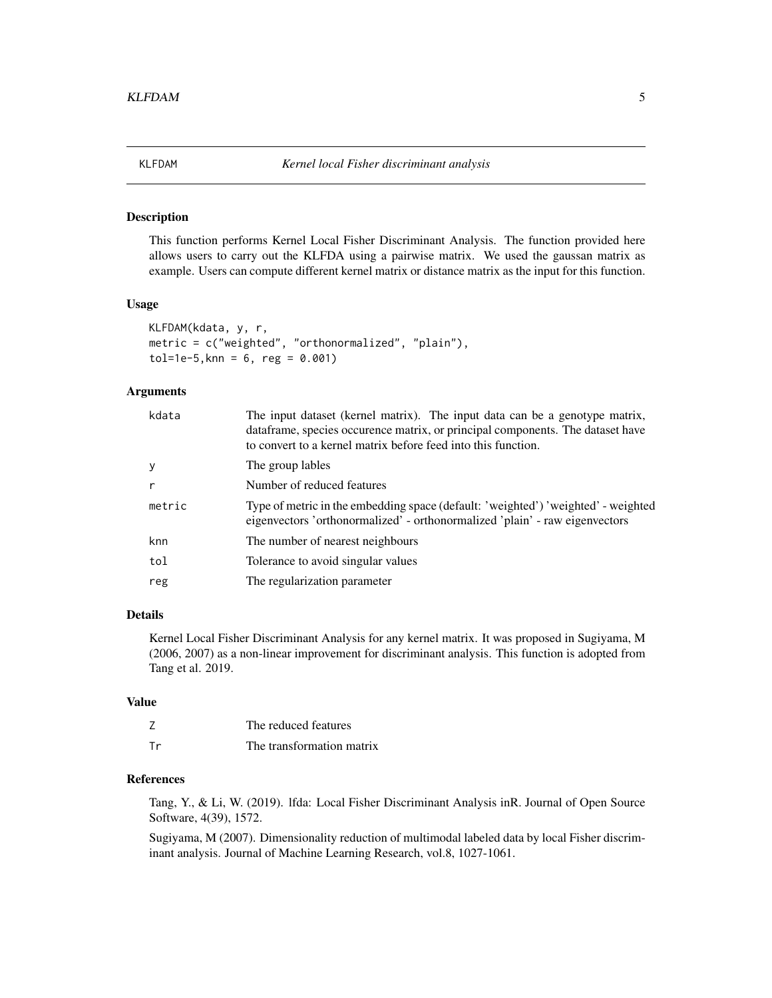<span id="page-4-0"></span>

#### Description

This function performs Kernel Local Fisher Discriminant Analysis. The function provided here allows users to carry out the KLFDA using a pairwise matrix. We used the gaussan matrix as example. Users can compute different kernel matrix or distance matrix as the input for this function.

# Usage

```
KLFDAM(kdata, y, r,
metric = c("weighted", "orthonormalized", "plain"),
tol=1e-5,knn = 6, reg = 0.001)
```
#### Arguments

| kdata  | The input dataset (kernel matrix). The input data can be a genotype matrix,<br>dataframe, species occurence matrix, or principal components. The dataset have<br>to convert to a kernel matrix before feed into this function. |
|--------|--------------------------------------------------------------------------------------------------------------------------------------------------------------------------------------------------------------------------------|
| y      | The group lables                                                                                                                                                                                                               |
| r      | Number of reduced features                                                                                                                                                                                                     |
| metric | Type of metric in the embedding space (default: 'weighted') 'weighted' - weighted<br>eigenvectors 'orthonormalized' - orthonormalized 'plain' - raw eigenvectors                                                               |
| knn    | The number of nearest neighbours                                                                                                                                                                                               |
| tol    | Tolerance to avoid singular values                                                                                                                                                                                             |
| reg    | The regularization parameter                                                                                                                                                                                                   |
|        |                                                                                                                                                                                                                                |

#### Details

Kernel Local Fisher Discriminant Analysis for any kernel matrix. It was proposed in Sugiyama, M (2006, 2007) as a non-linear improvement for discriminant analysis. This function is adopted from Tang et al. 2019.

# Value

|    | The reduced features      |
|----|---------------------------|
| Тr | The transformation matrix |

# References

Tang, Y., & Li, W. (2019). lfda: Local Fisher Discriminant Analysis inR. Journal of Open Source Software, 4(39), 1572.

Sugiyama, M (2007). Dimensionality reduction of multimodal labeled data by local Fisher discriminant analysis. Journal of Machine Learning Research, vol.8, 1027-1061.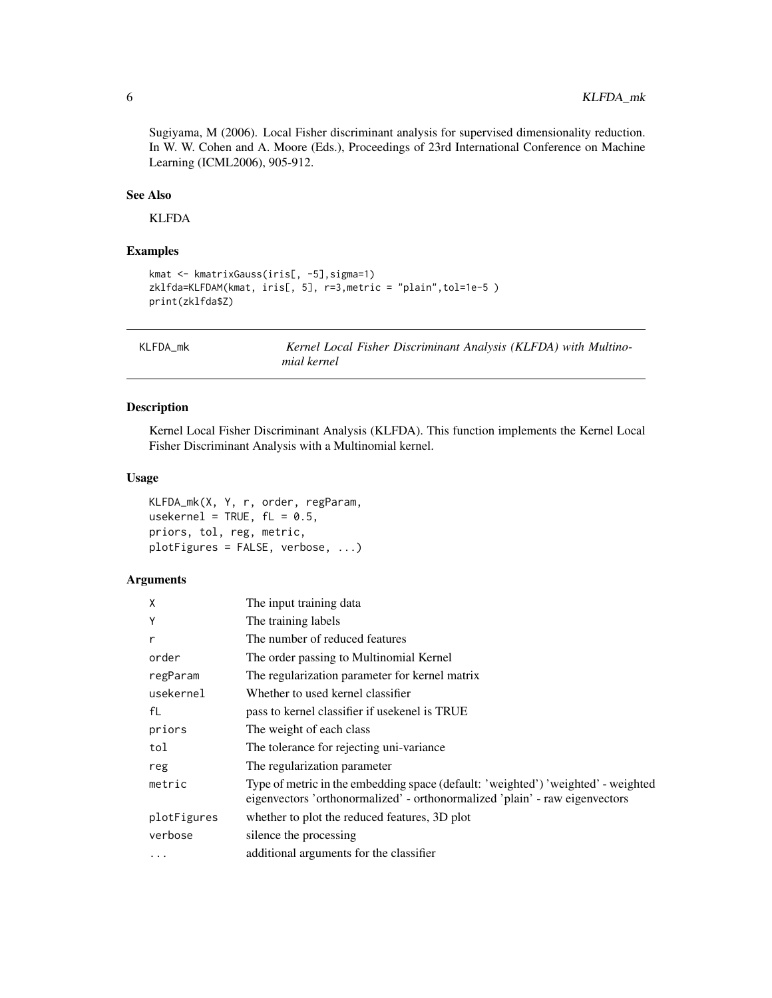Sugiyama, M (2006). Local Fisher discriminant analysis for supervised dimensionality reduction. In W. W. Cohen and A. Moore (Eds.), Proceedings of 23rd International Conference on Machine Learning (ICML2006), 905-912.

# See Also

KLFDA

# Examples

```
kmat <- kmatrixGauss(iris[, -5],sigma=1)
zklfda=KLFDAM(kmat, iris[, 5], r=3,metric = "plain",tol=1e-5 )
print(zklfda$Z)
```
KLFDA\_mk *Kernel Local Fisher Discriminant Analysis (KLFDA) with Multinomial kernel*

# Description

Kernel Local Fisher Discriminant Analysis (KLFDA). This function implements the Kernel Local Fisher Discriminant Analysis with a Multinomial kernel.

#### Usage

KLFDA\_mk(X, Y, r, order, regParam, usekernel = TRUE,  $fL = 0.5$ , priors, tol, reg, metric, plotFigures = FALSE, verbose, ...)

| X           | The input training data                                                                                                                                          |
|-------------|------------------------------------------------------------------------------------------------------------------------------------------------------------------|
| Y           | The training labels                                                                                                                                              |
| r           | The number of reduced features                                                                                                                                   |
| order       | The order passing to Multinomial Kernel                                                                                                                          |
| regParam    | The regularization parameter for kernel matrix                                                                                                                   |
| usekernel   | Whether to used kernel classifier                                                                                                                                |
| fL          | pass to kernel classifier if usekenel is TRUE                                                                                                                    |
| priors      | The weight of each class                                                                                                                                         |
| tol         | The tolerance for rejecting uni-variance                                                                                                                         |
| reg         | The regularization parameter                                                                                                                                     |
| metric      | Type of metric in the embedding space (default: 'weighted') 'weighted' - weighted<br>eigenvectors 'orthonormalized' - orthonormalized 'plain' - raw eigenvectors |
| plotFigures | whether to plot the reduced features, 3D plot                                                                                                                    |
| verbose     | silence the processing                                                                                                                                           |
| .           | additional arguments for the classifier                                                                                                                          |

<span id="page-5-0"></span>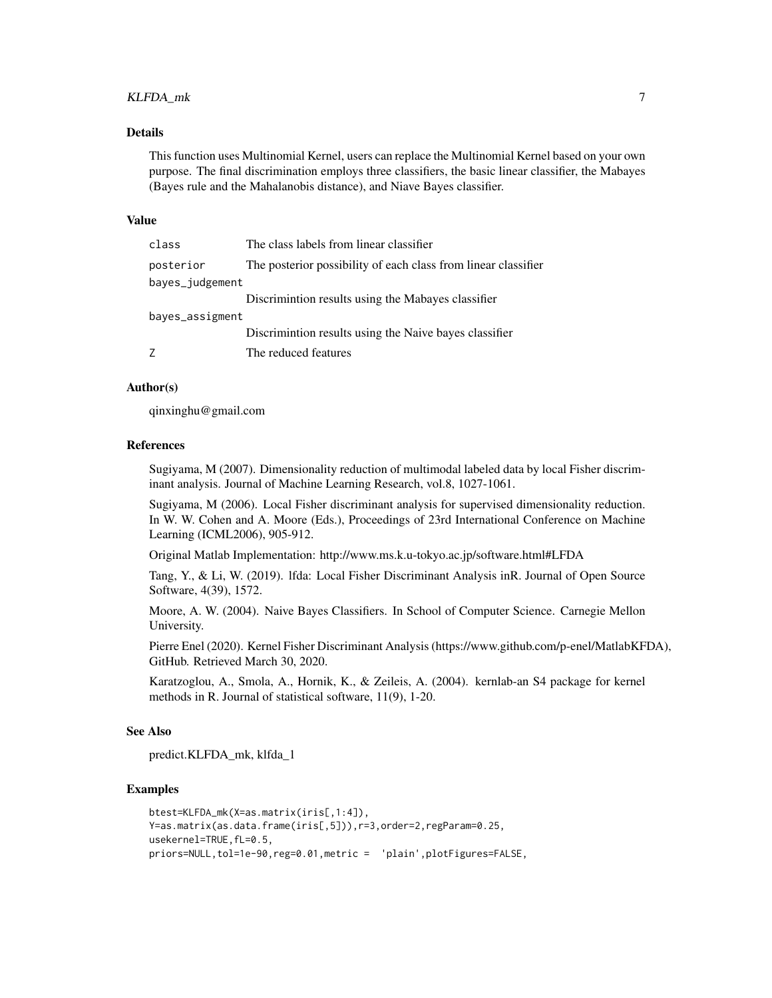# KLFDA\_mk 7

#### Details

This function uses Multinomial Kernel, users can replace the Multinomial Kernel based on your own purpose. The final discrimination employs three classifiers, the basic linear classifier, the Mabayes (Bayes rule and the Mahalanobis distance), and Niave Bayes classifier.

# Value

| class           | The class labels from linear classifier                        |
|-----------------|----------------------------------------------------------------|
| posterior       | The posterior possibility of each class from linear classifier |
| bayes_judgement |                                                                |
|                 | Discrimintion results using the Mabayes classifier             |
| bayes_assigment |                                                                |
|                 | Discrimintion results using the Naive bayes classifier         |
| 7               | The reduced features                                           |

# Author(s)

qinxinghu@gmail.com

#### References

Sugiyama, M (2007). Dimensionality reduction of multimodal labeled data by local Fisher discriminant analysis. Journal of Machine Learning Research, vol.8, 1027-1061.

Sugiyama, M (2006). Local Fisher discriminant analysis for supervised dimensionality reduction. In W. W. Cohen and A. Moore (Eds.), Proceedings of 23rd International Conference on Machine Learning (ICML2006), 905-912.

Original Matlab Implementation: http://www.ms.k.u-tokyo.ac.jp/software.html#LFDA

Tang, Y., & Li, W. (2019). lfda: Local Fisher Discriminant Analysis inR. Journal of Open Source Software, 4(39), 1572.

Moore, A. W. (2004). Naive Bayes Classifiers. In School of Computer Science. Carnegie Mellon University.

Pierre Enel (2020). Kernel Fisher Discriminant Analysis (https://www.github.com/p-enel/MatlabKFDA), GitHub. Retrieved March 30, 2020.

Karatzoglou, A., Smola, A., Hornik, K., & Zeileis, A. (2004). kernlab-an S4 package for kernel methods in R. Journal of statistical software, 11(9), 1-20.

#### See Also

predict.KLFDA\_mk, klfda\_1

#### Examples

```
btest=KLFDA_mk(X=as.matrix(iris[,1:4]),
Y=as.matrix(as.data.frame(iris[,5])),r=3,order=2,regParam=0.25,
usekernel=TRUE,fL=0.5,
priors=NULL,tol=1e-90,reg=0.01,metric = 'plain',plotFigures=FALSE,
```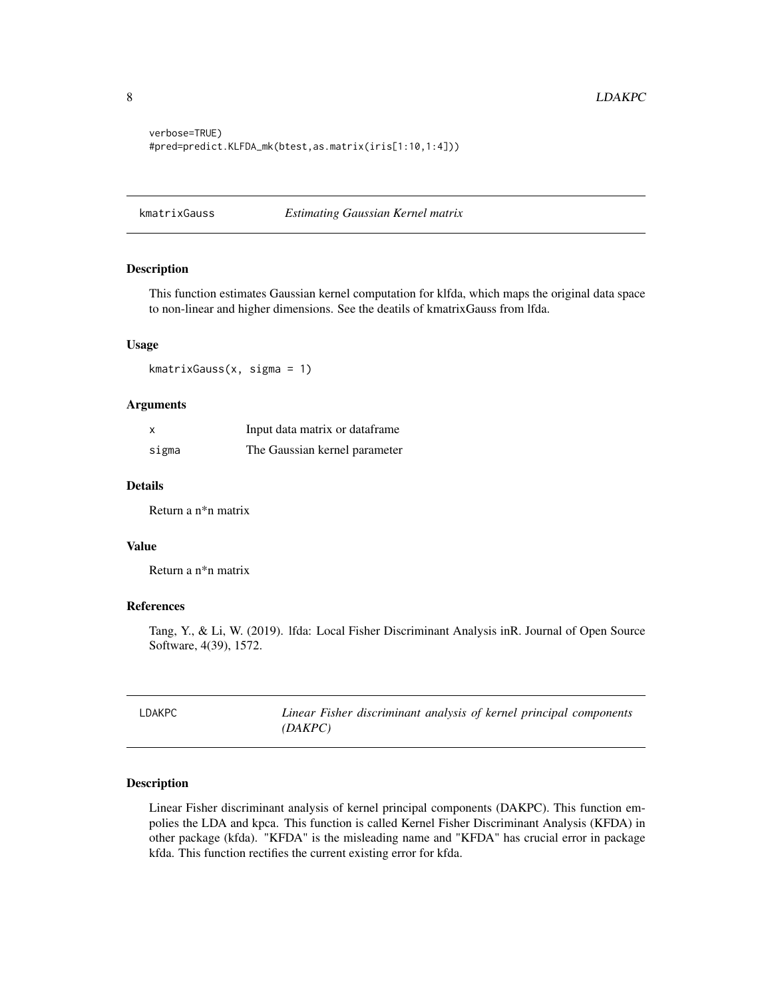```
verbose=TRUE)
#pred=predict.KLFDA_mk(btest,as.matrix(iris[1:10,1:4]))
```
kmatrixGauss *Estimating Gaussian Kernel matrix*

# Description

This function estimates Gaussian kernel computation for klfda, which maps the original data space to non-linear and higher dimensions. See the deatils of kmatrixGauss from lfda.

#### Usage

kmatrixGauss(x, sigma = 1)

#### Arguments

|       | Input data matrix or dataframe |
|-------|--------------------------------|
| sigma | The Gaussian kernel parameter  |

# Details

Return a n\*n matrix

#### Value

Return a n\*n matrix

# References

Tang, Y., & Li, W. (2019). lfda: Local Fisher Discriminant Analysis inR. Journal of Open Source Software, 4(39), 1572.

| LDAKPC | Linear Fisher discriminant analysis of kernel principal components |
|--------|--------------------------------------------------------------------|
|        | (DAKPC)                                                            |

# Description

Linear Fisher discriminant analysis of kernel principal components (DAKPC). This function empolies the LDA and kpca. This function is called Kernel Fisher Discriminant Analysis (KFDA) in other package (kfda). "KFDA" is the misleading name and "KFDA" has crucial error in package kfda. This function rectifies the current existing error for kfda.

<span id="page-7-0"></span>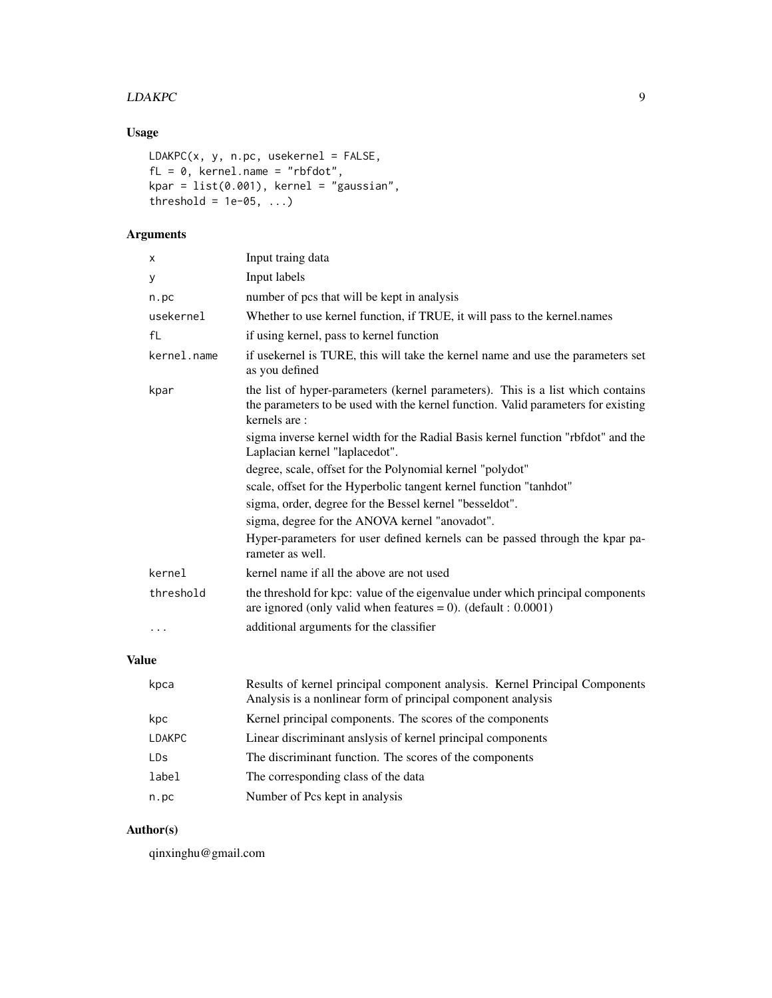# LDAKPC 9

# Usage

```
LDAKPC(x, y, n.pc, usekernel = FALSE,
fL = 0, kernel.name = "rbfdot",
kpar = list(0.001), kernel = "gaussian",
threshold = 1e-05, ...)
```
# Arguments

| X           | Input traing data                                                                                                                                                                    |
|-------------|--------------------------------------------------------------------------------------------------------------------------------------------------------------------------------------|
| У           | Input labels                                                                                                                                                                         |
| n.pc        | number of pcs that will be kept in analysis                                                                                                                                          |
| usekernel   | Whether to use kernel function, if TRUE, it will pass to the kernel.names                                                                                                            |
| fL          | if using kernel, pass to kernel function                                                                                                                                             |
| kernel.name | if usekernel is TURE, this will take the kernel name and use the parameters set<br>as you defined                                                                                    |
| kpar        | the list of hyper-parameters (kernel parameters). This is a list which contains<br>the parameters to be used with the kernel function. Valid parameters for existing<br>kernels are: |
|             | sigma inverse kernel width for the Radial Basis kernel function "rbfdot" and the<br>Laplacian kernel "laplacedot".                                                                   |
|             | degree, scale, offset for the Polynomial kernel "polydot"                                                                                                                            |
|             | scale, offset for the Hyperbolic tangent kernel function "tanhdot"                                                                                                                   |
|             | sigma, order, degree for the Bessel kernel "besseldot".                                                                                                                              |
|             | sigma, degree for the ANOVA kernel "anovadot".                                                                                                                                       |
|             | Hyper-parameters for user defined kernels can be passed through the kpar pa-<br>rameter as well.                                                                                     |
| kernel      | kernel name if all the above are not used                                                                                                                                            |
| threshold   | the threshold for kpc: value of the eigenvalue under which principal components<br>are ignored (only valid when features = 0). (default : $0.0001$ )                                 |
| $\cdots$    | additional arguments for the classifier                                                                                                                                              |

# Value

| kpca          | Results of kernel principal component analysis. Kernel Principal Components<br>Analysis is a nonlinear form of principal component analysis |
|---------------|---------------------------------------------------------------------------------------------------------------------------------------------|
| kpc           | Kernel principal components. The scores of the components                                                                                   |
| <b>LDAKPC</b> | Linear discriminant analysis of kernel principal components                                                                                 |
| LDs           | The discriminant function. The scores of the components                                                                                     |
| label         | The corresponding class of the data                                                                                                         |
| n.pc          | Number of Pcs kept in analysis                                                                                                              |

# Author(s)

qinxinghu@gmail.com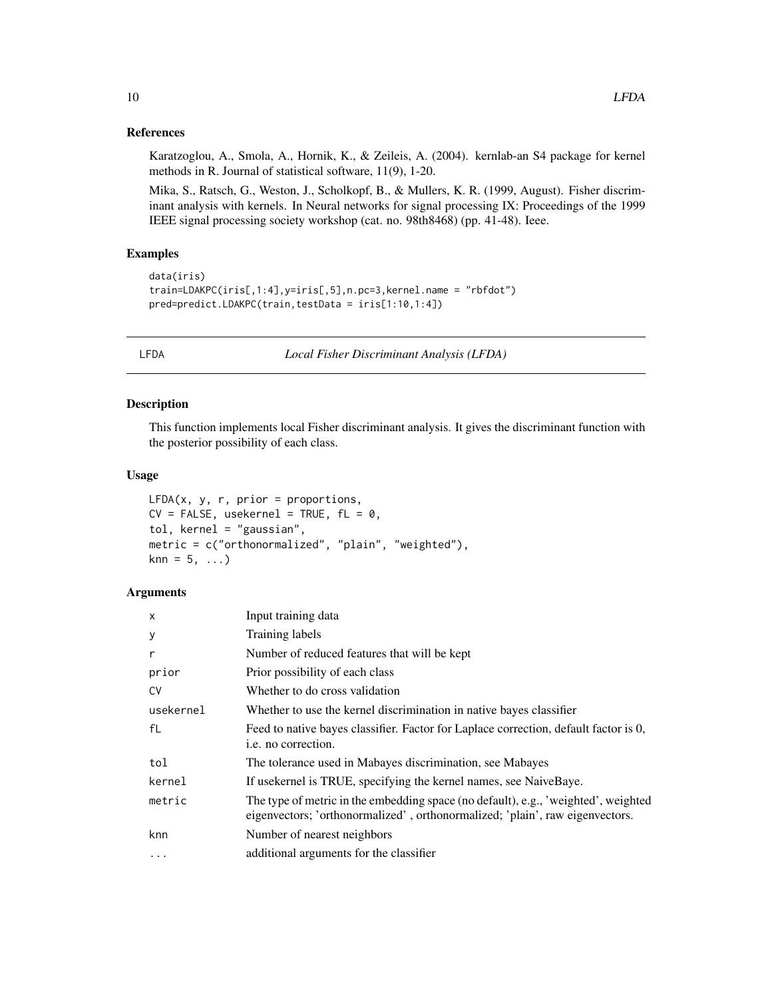#### <span id="page-9-0"></span>References

Karatzoglou, A., Smola, A., Hornik, K., & Zeileis, A. (2004). kernlab-an S4 package for kernel methods in R. Journal of statistical software, 11(9), 1-20.

Mika, S., Ratsch, G., Weston, J., Scholkopf, B., & Mullers, K. R. (1999, August). Fisher discriminant analysis with kernels. In Neural networks for signal processing IX: Proceedings of the 1999 IEEE signal processing society workshop (cat. no. 98th8468) (pp. 41-48). Ieee.

# Examples

```
data(iris)
train=LDAKPC(iris[,1:4],y=iris[,5],n.pc=3,kernel.name = "rbfdot")
pred=predict.LDAKPC(train,testData = iris[1:10,1:4])
```
LFDA *Local Fisher Discriminant Analysis (LFDA)*

#### Description

This function implements local Fisher discriminant analysis. It gives the discriminant function with the posterior possibility of each class.

#### Usage

```
LFDA(x, y, r, prior = proportions,CV = FALSE, usekernel = TRUE, fL = 0,tol, kernel = "gaussian",
metric = c("orthonormalized", "plain", "weighted"),
kmn = 5, ...
```

| $\times$  | Input training data                                                                                                                                                |
|-----------|--------------------------------------------------------------------------------------------------------------------------------------------------------------------|
| У         | Training labels                                                                                                                                                    |
| r         | Number of reduced features that will be kept                                                                                                                       |
| prior     | Prior possibility of each class                                                                                                                                    |
| CV        | Whether to do cross validation                                                                                                                                     |
| usekernel | Whether to use the kernel discrimination in native bayes classifier                                                                                                |
| fL        | Feed to native bayes classifier. Factor for Laplace correction, default factor is 0,<br><i>i.e.</i> no correction.                                                 |
| tol       | The tolerance used in Mabayes discrimination, see Mabayes                                                                                                          |
| kernel    | If usekernel is TRUE, specifying the kernel names, see NaiveBaye.                                                                                                  |
| metric    | The type of metric in the embedding space (no default), e.g., 'weighted', weighted<br>eigenvectors; 'orthonormalized', orthonormalized; 'plain', raw eigenvectors. |
| knn       | Number of nearest neighbors                                                                                                                                        |
| $\cdots$  | additional arguments for the classifier                                                                                                                            |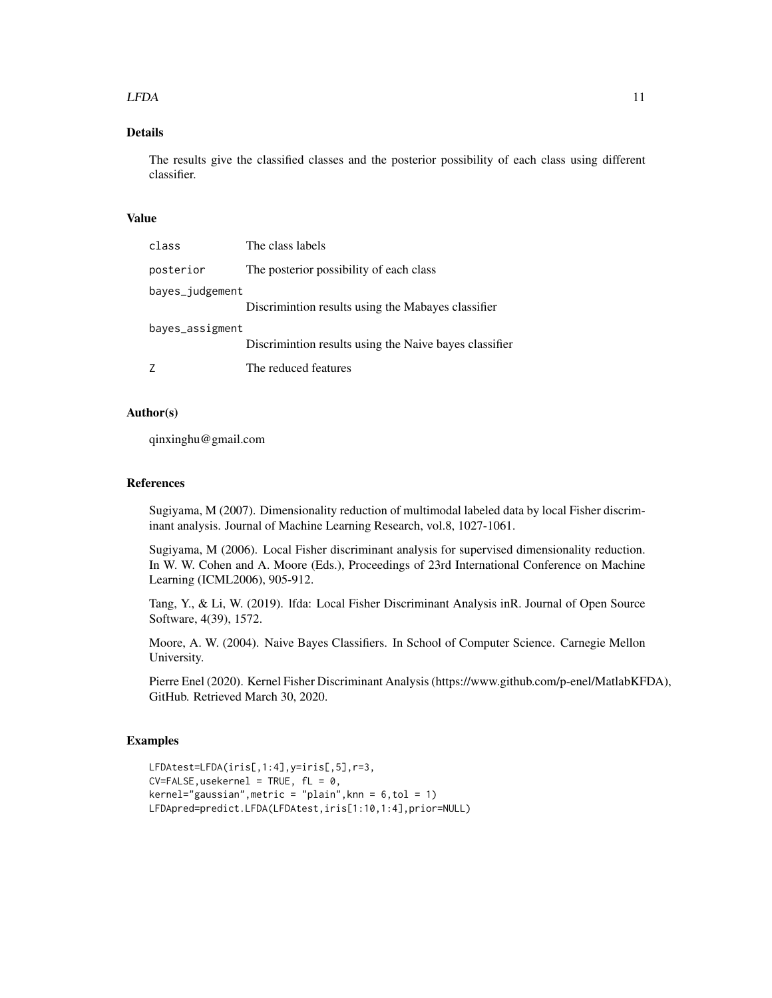#### $LFDA$  11

# Details

The results give the classified classes and the posterior possibility of each class using different classifier.

#### Value

| class           | The class labels                                       |
|-----------------|--------------------------------------------------------|
| posterior       | The posterior possibility of each class                |
| bayes_judgement | Discrimintion results using the Mabayes classifier     |
| bayes_assigment | Discrimintion results using the Naive bayes classifier |
|                 | The reduced features                                   |

# Author(s)

qinxinghu@gmail.com

# References

Sugiyama, M (2007). Dimensionality reduction of multimodal labeled data by local Fisher discriminant analysis. Journal of Machine Learning Research, vol.8, 1027-1061.

Sugiyama, M (2006). Local Fisher discriminant analysis for supervised dimensionality reduction. In W. W. Cohen and A. Moore (Eds.), Proceedings of 23rd International Conference on Machine Learning (ICML2006), 905-912.

Tang, Y., & Li, W. (2019). lfda: Local Fisher Discriminant Analysis inR. Journal of Open Source Software, 4(39), 1572.

Moore, A. W. (2004). Naive Bayes Classifiers. In School of Computer Science. Carnegie Mellon University.

Pierre Enel (2020). Kernel Fisher Discriminant Analysis (https://www.github.com/p-enel/MatlabKFDA), GitHub. Retrieved March 30, 2020.

# Examples

```
LFDAtest=LFDA(iris[,1:4],y=iris[,5],r=3,
CV=FALSE, usekernel = TRUE, fL = 0,kernel="gaussian", metric = "plain", knn = 6, \text{tol} = 1)
LFDApred=predict.LFDA(LFDAtest,iris[1:10,1:4],prior=NULL)
```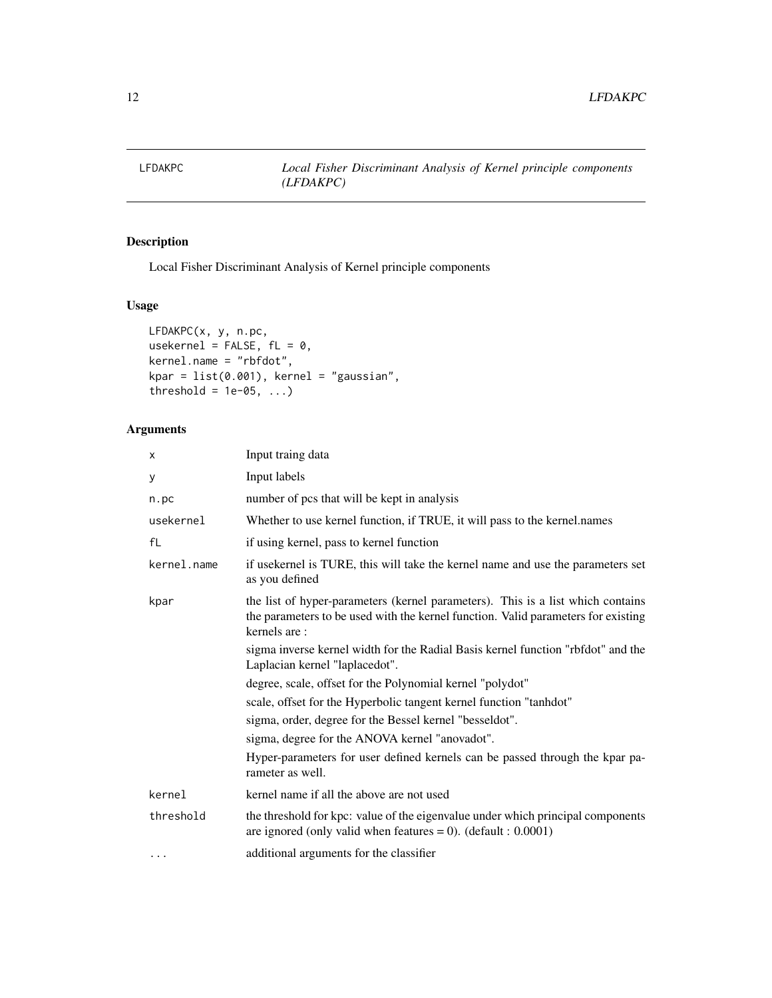<span id="page-11-0"></span>

# Description

Local Fisher Discriminant Analysis of Kernel principle components

# Usage

```
LFDAKPC(x, y, n.pc,
usekernel = FALSE, fL = 0,
kernel.name = "rbfdot",
kpar = list(0.001), kernel = "gaussian",threshold = 1e-05, ...)
```

| X              | Input traing data                                                                                                                                                                    |
|----------------|--------------------------------------------------------------------------------------------------------------------------------------------------------------------------------------|
| у              | Input labels                                                                                                                                                                         |
| n.pc           | number of pcs that will be kept in analysis                                                                                                                                          |
| usekernel      | Whether to use kernel function, if TRUE, it will pass to the kernel.names                                                                                                            |
| f <sub>L</sub> | if using kernel, pass to kernel function                                                                                                                                             |
| kernel.name    | if usekernel is TURE, this will take the kernel name and use the parameters set<br>as you defined                                                                                    |
| kpar           | the list of hyper-parameters (kernel parameters). This is a list which contains<br>the parameters to be used with the kernel function. Valid parameters for existing<br>kernels are: |
|                | sigma inverse kernel width for the Radial Basis kernel function "rbfdot" and the<br>Laplacian kernel "laplacedot".                                                                   |
|                | degree, scale, offset for the Polynomial kernel "polydot"                                                                                                                            |
|                | scale, offset for the Hyperbolic tangent kernel function "tanhdot"                                                                                                                   |
|                | sigma, order, degree for the Bessel kernel "besseldot".                                                                                                                              |
|                | sigma, degree for the ANOVA kernel "anovadot".                                                                                                                                       |
|                | Hyper-parameters for user defined kernels can be passed through the kpar pa-<br>rameter as well.                                                                                     |
| kernel         | kernel name if all the above are not used                                                                                                                                            |
| threshold      | the threshold for kpc: value of the eigenvalue under which principal components<br>are ignored (only valid when features = 0). (default : $0.0001$ )                                 |
| $\cdots$       | additional arguments for the classifier                                                                                                                                              |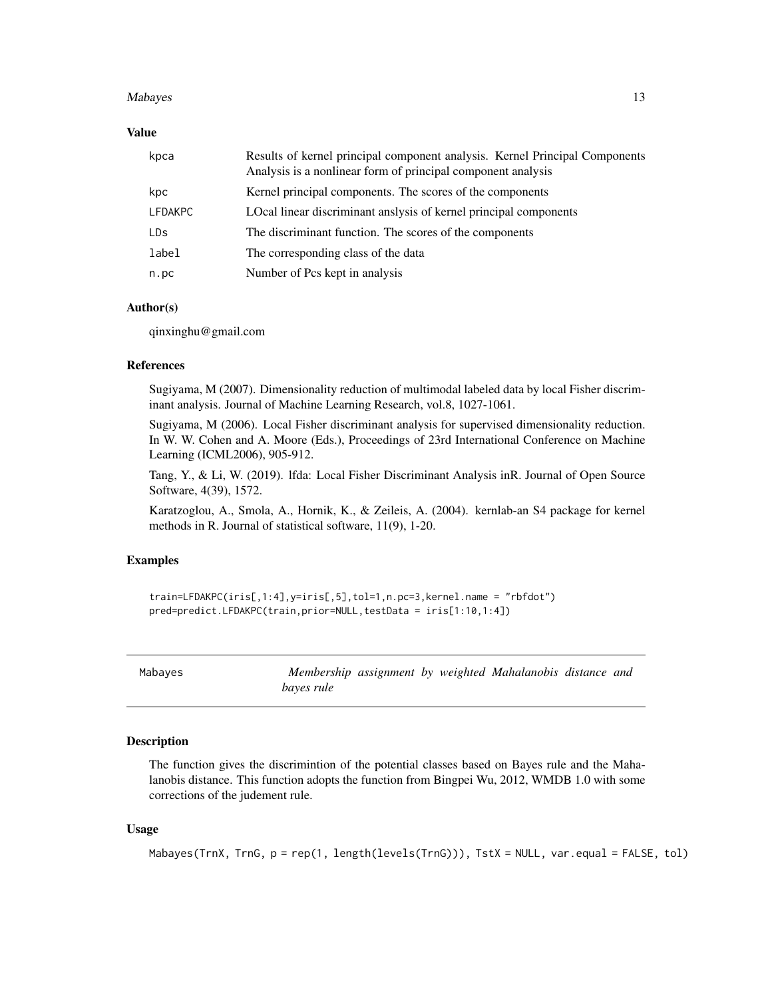#### <span id="page-12-0"></span>Mabayes **13**

# Value

| kpca           | Results of kernel principal component analysis. Kernel Principal Components<br>Analysis is a nonlinear form of principal component analysis |
|----------------|---------------------------------------------------------------------------------------------------------------------------------------------|
| kpc            | Kernel principal components. The scores of the components                                                                                   |
| <b>LFDAKPC</b> | LOcal linear discriminant anslysis of kernel principal components                                                                           |
| LDs.           | The discriminant function. The scores of the components                                                                                     |
| label          | The corresponding class of the data                                                                                                         |
| n.pc           | Number of Pcs kept in analysis                                                                                                              |

# Author(s)

qinxinghu@gmail.com

#### References

Sugiyama, M (2007). Dimensionality reduction of multimodal labeled data by local Fisher discriminant analysis. Journal of Machine Learning Research, vol.8, 1027-1061.

Sugiyama, M (2006). Local Fisher discriminant analysis for supervised dimensionality reduction. In W. W. Cohen and A. Moore (Eds.), Proceedings of 23rd International Conference on Machine Learning (ICML2006), 905-912.

Tang, Y., & Li, W. (2019). lfda: Local Fisher Discriminant Analysis inR. Journal of Open Source Software, 4(39), 1572.

Karatzoglou, A., Smola, A., Hornik, K., & Zeileis, A. (2004). kernlab-an S4 package for kernel methods in R. Journal of statistical software, 11(9), 1-20.

# Examples

```
train=LFDAKPC(iris[,1:4],y=iris[,5],tol=1,n.pc=3,kernel.name = "rbfdot")
pred=predict.LFDAKPC(train,prior=NULL,testData = iris[1:10,1:4])
```
Mabayes *Membership assignment by weighted Mahalanobis distance and bayes rule*

#### Description

The function gives the discrimintion of the potential classes based on Bayes rule and the Mahalanobis distance. This function adopts the function from Bingpei Wu, 2012, WMDB 1.0 with some corrections of the judement rule.

# Usage

```
Mabayes(TrnX, TrnG, p = rep(1, length(levels(TrnG))), TstX = NULL, var.equal = FALSE, tol)
```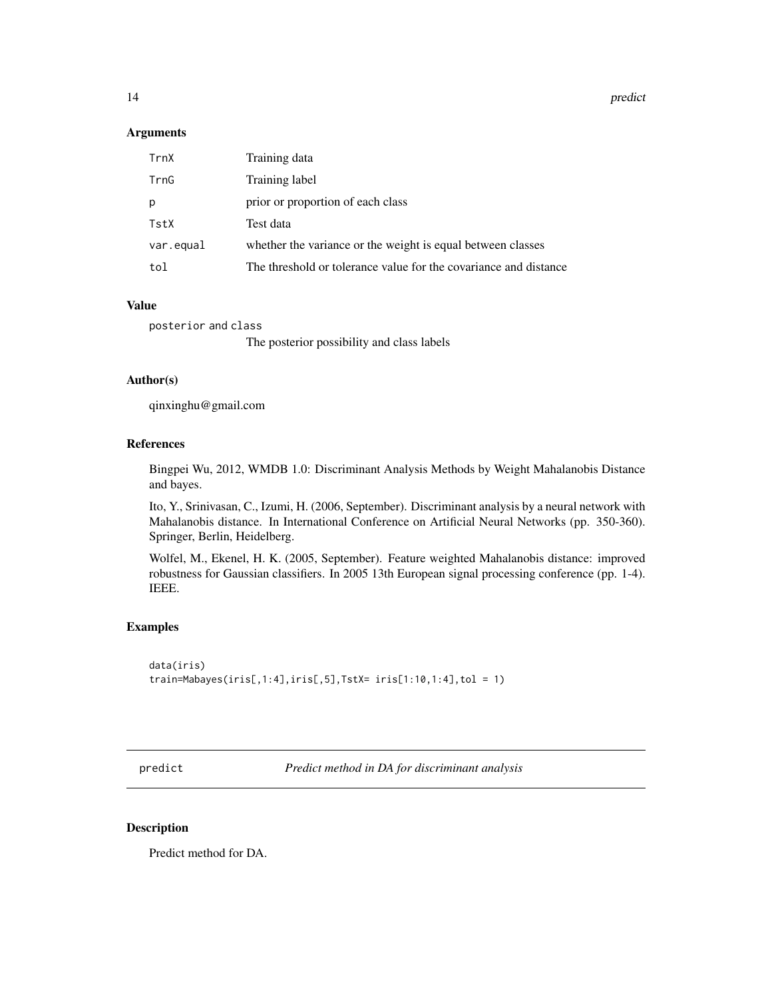<span id="page-13-0"></span>14 predict the predict of the state of the state of the state of the predict of the state of the state of the state of the state of the state of the state of the state of the state of the state of the state of the state of

#### Arguments

| TrnX      | Training data                                                    |
|-----------|------------------------------------------------------------------|
| TrnG      | Training label                                                   |
| p         | prior or proportion of each class                                |
| TstX      | Test data                                                        |
| var.equal | whether the variance or the weight is equal between classes      |
| tol       | The threshold or tolerance value for the covariance and distance |

# Value

posterior and class

The posterior possibility and class labels

# Author(s)

qinxinghu@gmail.com

# References

Bingpei Wu, 2012, WMDB 1.0: Discriminant Analysis Methods by Weight Mahalanobis Distance and bayes.

Ito, Y., Srinivasan, C., Izumi, H. (2006, September). Discriminant analysis by a neural network with Mahalanobis distance. In International Conference on Artificial Neural Networks (pp. 350-360). Springer, Berlin, Heidelberg.

Wolfel, M., Ekenel, H. K. (2005, September). Feature weighted Mahalanobis distance: improved robustness for Gaussian classifiers. In 2005 13th European signal processing conference (pp. 1-4). IEEE.

# Examples

```
data(iris)
train=Mabayes(iris[,1:4],iris[,5],TstX= iris[1:10,1:4],tol = 1)
```
predict *Predict method in DA for discriminant analysis*

# Description

Predict method for DA.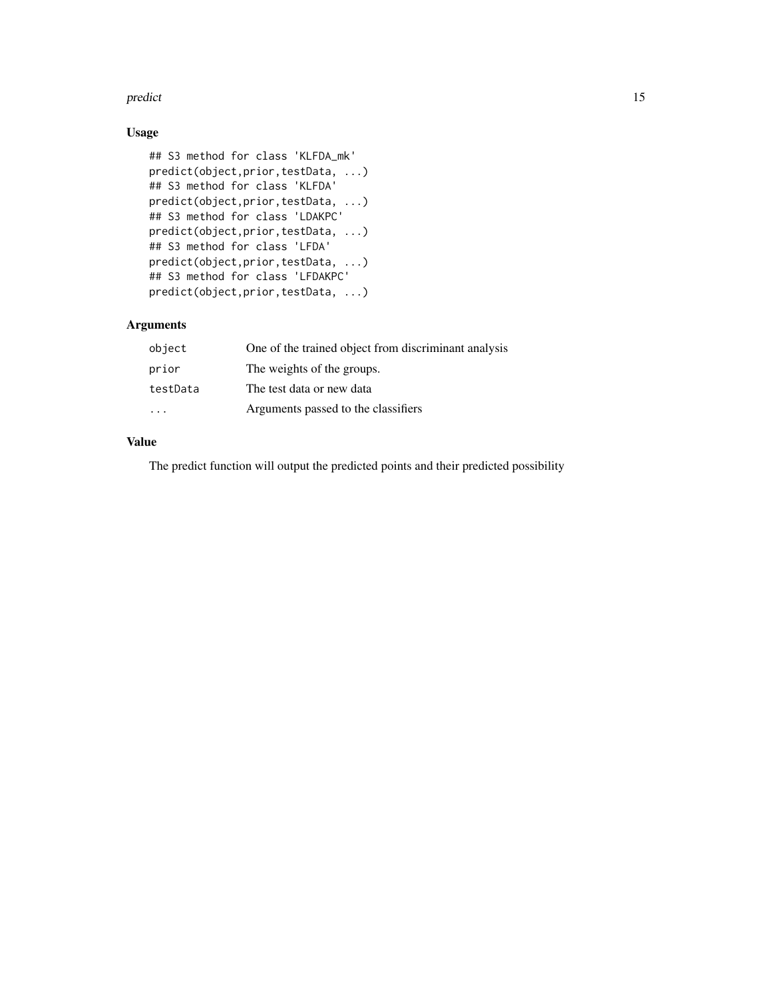#### predict the contract of the contract of the contract of the contract of the contract of the contract of the contract of the contract of the contract of the contract of the contract of the contract of the contract of the co

# Usage

```
## S3 method for class 'KLFDA_mk'
predict(object,prior,testData, ...)
## S3 method for class 'KLFDA'
predict(object,prior,testData, ...)
## S3 method for class 'LDAKPC'
predict(object,prior,testData, ...)
## S3 method for class 'LFDA'
predict(object,prior,testData, ...)
## S3 method for class 'LFDAKPC'
predict(object,prior,testData, ...)
```
# Arguments

| object   | One of the trained object from discriminant analysis |
|----------|------------------------------------------------------|
| prior    | The weights of the groups.                           |
| testData | The test data or new data                            |
|          | Arguments passed to the classifiers                  |

# Value

The predict function will output the predicted points and their predicted possibility